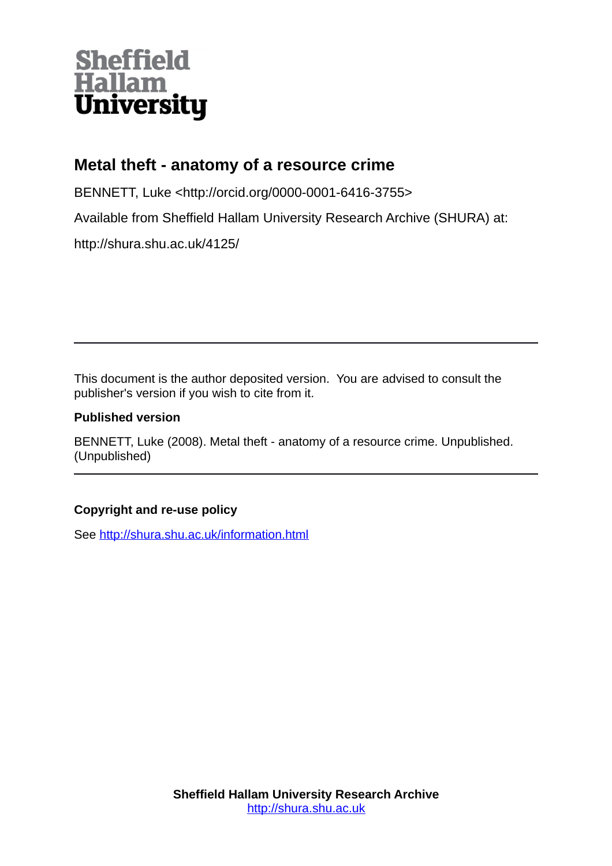# **Sheffield<br>Hallam<br>University**

### **Metal theft - anatomy of a resource crime**

BENNETT, Luke <http://orcid.org/0000-0001-6416-3755>

Available from Sheffield Hallam University Research Archive (SHURA) at:

http://shura.shu.ac.uk/4125/

This document is the author deposited version. You are advised to consult the publisher's version if you wish to cite from it.

#### **Published version**

BENNETT, Luke (2008). Metal theft - anatomy of a resource crime. Unpublished. (Unpublished)

#### **Copyright and re-use policy**

See<http://shura.shu.ac.uk/information.html>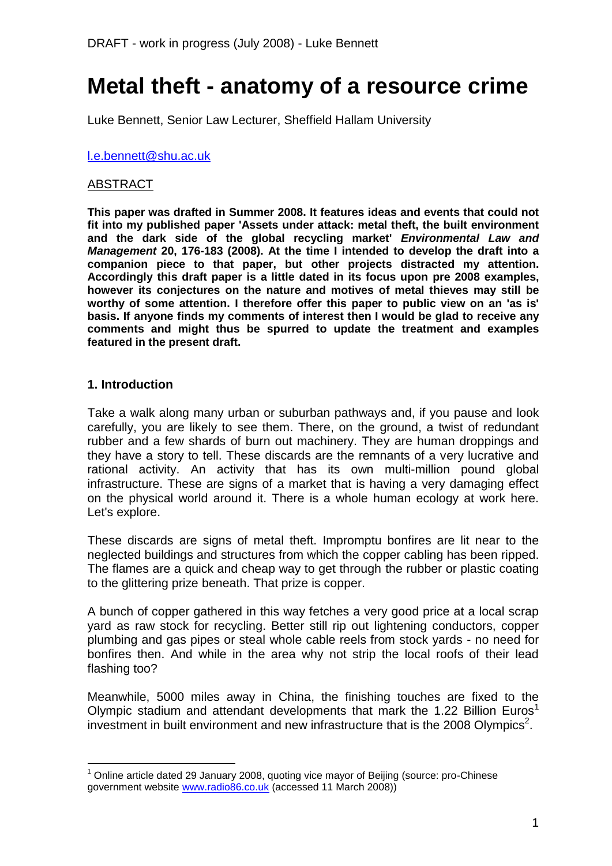## **Metal theft - anatomy of a resource crime**

Luke Bennett, Senior Law Lecturer, Sheffield Hallam University

#### [l.e.bennett@shu.ac.uk](mailto:l.e.bennett@shu.ac.uk)

#### ABSTRACT

**This paper was drafted in Summer 2008. It features ideas and events that could not fit into my published paper 'Assets under attack: metal theft, the built environment and the dark side of the global recycling market'** *Environmental Law and Management* **20, 176-183 (2008). At the time I intended to develop the draft into a companion piece to that paper, but other projects distracted my attention. Accordingly this draft paper is a little dated in its focus upon pre 2008 examples, however its conjectures on the nature and motives of metal thieves may still be worthy of some attention. I therefore offer this paper to public view on an 'as is' basis. If anyone finds my comments of interest then I would be glad to receive any comments and might thus be spurred to update the treatment and examples featured in the present draft.**

#### **1. Introduction**

1

Take a walk along many urban or suburban pathways and, if you pause and look carefully, you are likely to see them. There, on the ground, a twist of redundant rubber and a few shards of burn out machinery. They are human droppings and they have a story to tell. These discards are the remnants of a very lucrative and rational activity. An activity that has its own multi-million pound global infrastructure. These are signs of a market that is having a very damaging effect on the physical world around it. There is a whole human ecology at work here. Let's explore.

These discards are signs of metal theft. Impromptu bonfires are lit near to the neglected buildings and structures from which the copper cabling has been ripped. The flames are a quick and cheap way to get through the rubber or plastic coating to the glittering prize beneath. That prize is copper.

A bunch of copper gathered in this way fetches a very good price at a local scrap yard as raw stock for recycling. Better still rip out lightening conductors, copper plumbing and gas pipes or steal whole cable reels from stock yards - no need for bonfires then. And while in the area why not strip the local roofs of their lead flashing too?

Meanwhile, 5000 miles away in China, the finishing touches are fixed to the Olympic stadium and attendant developments that mark the 1.22 Billion Euros<sup>1</sup> investment in built environment and new infrastructure that is the 2008 Olympics<sup>2</sup>.

 $1$  Online article dated 29 January 2008, quoting vice mayor of Beijing (source: pro-Chinese government website [www.radio86.co.uk](http://www.radio86.co.uk/) (accessed 11 March 2008))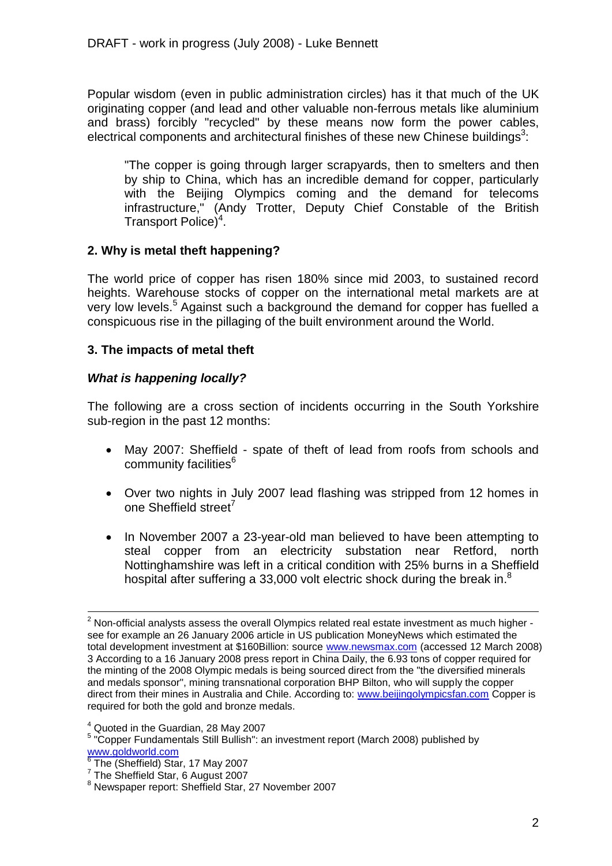Popular wisdom (even in public administration circles) has it that much of the UK originating copper (and lead and other valuable non-ferrous metals like aluminium and brass) forcibly "recycled" by these means now form the power cables, electrical components and architectural finishes of these new Chinese buildings<sup>3</sup>:

"The copper is going through larger scrapyards, then to smelters and then by ship to China, which has an incredible demand for copper, particularly with the Beijing Olympics coming and the demand for telecoms infrastructure," (Andy Trotter, Deputy Chief Constable of the British Transport Police)<sup>4</sup>.

#### **2. Why is metal theft happening?**

The world price of copper has risen 180% since mid 2003, to sustained record heights. Warehouse stocks of copper on the international metal markets are at very low levels.<sup>5</sup> Against such a background the demand for copper has fuelled a conspicuous rise in the pillaging of the built environment around the World.

#### **3. The impacts of metal theft**

#### *What is happening locally?*

The following are a cross section of incidents occurring in the South Yorkshire sub-region in the past 12 months:

- May 2007: Sheffield spate of theft of lead from roofs from schools and community facilities<sup>6</sup>
- Over two nights in July 2007 lead flashing was stripped from 12 homes in one Sheffield street<sup>7</sup>
- In November 2007 a 23-year-old man believed to have been attempting to steal copper from an electricity substation near Retford, north Nottinghamshire was left in a critical condition with 25% burns in a Sheffield hospital after suffering a 33,000 volt electric shock during the break in. $8$

 $2$  Non-official analysts assess the overall Olympics related real estate investment as much higher see for example an 26 January 2006 article in US publication MoneyNews which estimated the total development investment at \$160Billion: source [www.newsmax.com](http://www.newsmax.com/) (accessed 12 March 2008) 3 According to a 16 January 2008 press report in China Daily, the 6.93 tons of copper required for the minting of the 2008 Olympic medals is being sourced direct from the "the diversified minerals and medals sponsor", mining transnational corporation BHP Bilton, who will supply the copper direct from their mines in Australia and Chile. According to: [www.beijingolympicsfan.com](http://www.beijingolympicsfan.com/) Copper is required for both the gold and bronze medals.

<sup>4</sup> Quoted in the Guardian, 28 May 2007

<sup>&</sup>lt;sup>5</sup> "Copper Fundamentals Still Bullish": an investment report (March 2008) published by [www.goldworld.com](http://www.goldworld.com/)<br><sup>6</sup> The (Sheffield) Ste

The (Sheffield) Star, 17 May 2007

<sup>&</sup>lt;sup>7</sup> The Sheffield Star, 6 August 2007

<sup>8</sup> Newspaper report: Sheffield Star, 27 November 2007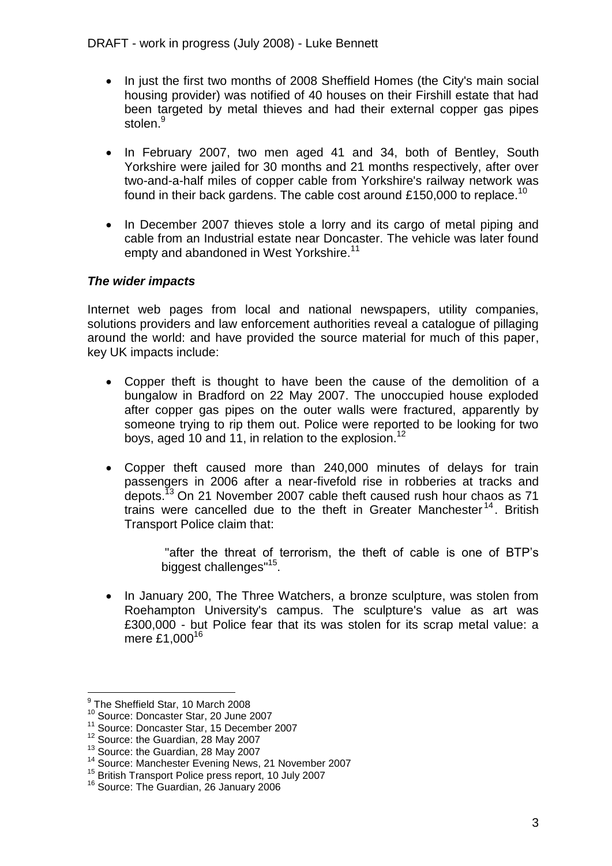- In just the first two months of 2008 Sheffield Homes (the City's main social housing provider) was notified of 40 houses on their Firshill estate that had been targeted by metal thieves and had their external copper gas pipes stolen.<sup>9</sup>
- In February 2007, two men aged 41 and 34, both of Bentley, South Yorkshire were jailed for 30 months and 21 months respectively, after over two-and-a-half miles of copper cable from Yorkshire's railway network was found in their back gardens. The cable cost around £150,000 to replace.<sup>10</sup>
- In December 2007 thieves stole a lorry and its cargo of metal piping and cable from an Industrial estate near Doncaster. The vehicle was later found empty and abandoned in West Yorkshire.<sup>11</sup>

#### *The wider impacts*

Internet web pages from local and national newspapers, utility companies, solutions providers and law enforcement authorities reveal a catalogue of pillaging around the world: and have provided the source material for much of this paper, key UK impacts include:

- Copper theft is thought to have been the cause of the demolition of a bungalow in Bradford on 22 May 2007. The unoccupied house exploded after copper gas pipes on the outer walls were fractured, apparently by someone trying to rip them out. Police were reported to be looking for two boys, aged 10 and 11, in relation to the explosion.<sup>12</sup>
- Copper theft caused more than 240,000 minutes of delays for train passengers in 2006 after a near-fivefold rise in robberies at tracks and depots.<sup>13</sup> On 21 November 2007 cable theft caused rush hour chaos as 71 trains were cancelled due to the theft in Greater Manchester<sup>14</sup>. British Transport Police claim that:

"after the threat of terrorism, the theft of cable is one of BTP's biggest challenges"<sup>15</sup>.

• In January 200, The Three Watchers, a bronze sculpture, was stolen from Roehampton University's campus. The sculpture's value as art was £300,000 - but Police fear that its was stolen for its scrap metal value: a mere £1,000<sup>16</sup>

 9 The Sheffield Star, 10 March 2008

<sup>10</sup> Source: Doncaster Star, 20 June 2007

<sup>11</sup> Source: Doncaster Star, 15 December 2007

<sup>12</sup> Source: the Guardian, 28 May 2007

<sup>&</sup>lt;sup>13</sup> Source: the Guardian, 28 May 2007

<sup>&</sup>lt;sup>14</sup> Source: Manchester Evening News, 21 November 2007

<sup>15</sup> British Transport Police press report, 10 July 2007

<sup>&</sup>lt;sup>16</sup> Source: The Guardian, 26 January 2006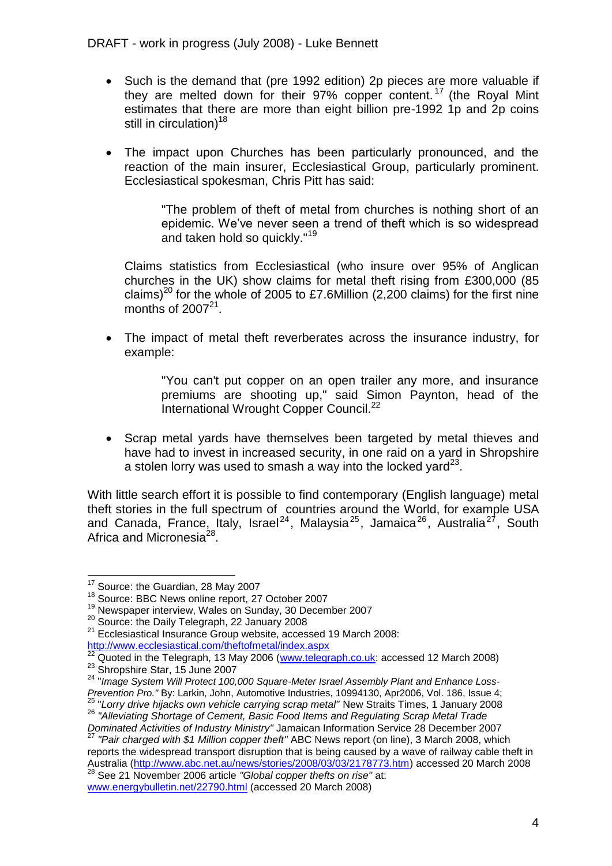- Such is the demand that (pre 1992 edition) 2p pieces are more valuable if they are melted down for their 97% copper content.<sup>17</sup> (the Royal Mint estimates that there are more than eight billion pre-1992 1p and 2p coins still in circulation)<sup>18</sup>
- The impact upon Churches has been particularly pronounced, and the reaction of the main insurer, Ecclesiastical Group, particularly prominent. Ecclesiastical spokesman, Chris Pitt has said:

"The problem of theft of metal from churches is nothing short of an epidemic. We've never seen a trend of theft which is so widespread and taken hold so quickly."<sup>19</sup>

Claims statistics from Ecclesiastical (who insure over 95% of Anglican churches in the UK) show claims for metal theft rising from £300,000 (85 claims)<sup>20</sup> for the whole of 2005 to £7.6Million (2,200 claims) for the first nine months of  $2007^{21}$ .

 The impact of metal theft reverberates across the insurance industry, for example:

> "You can't put copper on an open trailer any more, and insurance premiums are shooting up," said Simon Paynton, head of the International Wrought Copper Council.<sup>22</sup>

 Scrap metal yards have themselves been targeted by metal thieves and have had to invest in increased security, in one raid on a yard in Shropshire a stolen lorry was used to smash a way into the locked yard $^{23}$ .

With little search effort it is possible to find contemporary (English language) metal theft stories in the full spectrum of countries around the World, for example USA and Canada, France, Italy, Israel<sup>24</sup>, Malaysia<sup>25</sup>, Jamaica<sup>26</sup>, Australia<sup>27</sup>, South Africa and Micronesia<sup>28</sup>.

<u>.</u>

Australia [\(http://www.abc.net.au/news/stories/2008/03/03/2178773.htm\)](http://www.abc.net.au/news/stories/2008/03/03/2178773.htm) accessed 20 March 2008 <sup>28</sup> See 21 November 2006 article *"Global copper thefts on rise"* at:

[www.energybulletin.net/22790.html](http://www.energybulletin.net/22790.html) (accessed 20 March 2008)

<sup>&</sup>lt;sup>17</sup> Source: the Guardian, 28 May 2007

<sup>&</sup>lt;sup>18</sup> Source: BBC News online report, 27 October 2007

<sup>19</sup> Newspaper interview, Wales on Sunday, 30 December 2007

<sup>&</sup>lt;sup>20</sup> Source: the Daily Telegraph, 22 January 2008

<sup>21</sup> Ecclesiastical Insurance Group website, accessed 19 March 2008:

<http://www.ecclesiastical.com/theftofmetal/index.aspx>

 $^{22}$  Quoted in the Telegraph, 13 May 2006 [\(www.telegraph.co.uk:](http://www.telegraph.co.uk/) accessed 12 March 2008) <sup>23</sup> Shropshire Star, 15 June 2007

<sup>&</sup>lt;sup>24</sup> "Image System Will Protect 100,000 Square-Meter Israel Assembly Plant and Enhance Loss-*Prevention Pro."* By: Larkin, John, Automotive Industries, 10994130, Apr2006, Vol. 186, Issue 4; <sup>25</sup> "*Lorry drive hijacks own vehicle carrying scrap metal"* New Straits Times, 1 January 2008

<sup>26</sup> *"Alleviating Shortage of Cement, Basic Food Items and Regulating Scrap Metal Trade* 

*Dominated Activities of Industry Ministry"* Jamaican Information Service 28 December 2007 <sup>27</sup> *"Pair charged with \$1 Million copper theft"* ABC News report (on line), 3 March 2008, which reports the widespread transport disruption that is being caused by a wave of railway cable theft in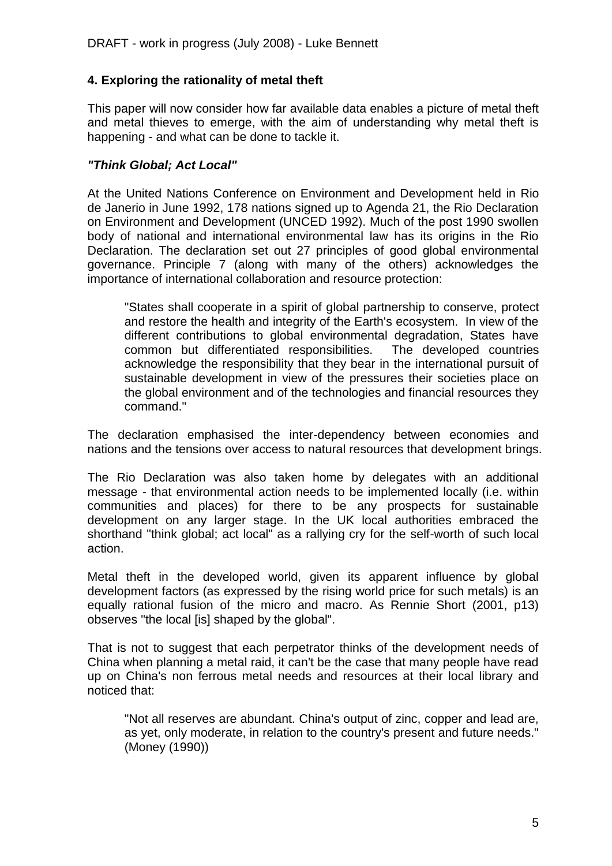#### **4. Exploring the rationality of metal theft**

This paper will now consider how far available data enables a picture of metal theft and metal thieves to emerge, with the aim of understanding why metal theft is happening - and what can be done to tackle it.

#### *"Think Global; Act Local"*

At the United Nations Conference on Environment and Development held in Rio de Janerio in June 1992, 178 nations signed up to Agenda 21, the Rio Declaration on Environment and Development (UNCED 1992). Much of the post 1990 swollen body of national and international environmental law has its origins in the Rio Declaration. The declaration set out 27 principles of good global environmental governance. Principle 7 (along with many of the others) acknowledges the importance of international collaboration and resource protection:

"States shall cooperate in a spirit of global partnership to conserve, protect and restore the health and integrity of the Earth's ecosystem. In view of the different contributions to global environmental degradation, States have common but differentiated responsibilities. The developed countries acknowledge the responsibility that they bear in the international pursuit of sustainable development in view of the pressures their societies place on the global environment and of the technologies and financial resources they command."

The declaration emphasised the inter-dependency between economies and nations and the tensions over access to natural resources that development brings.

The Rio Declaration was also taken home by delegates with an additional message - that environmental action needs to be implemented locally (i.e. within communities and places) for there to be any prospects for sustainable development on any larger stage. In the UK local authorities embraced the shorthand "think global; act local" as a rallying cry for the self-worth of such local action.

Metal theft in the developed world, given its apparent influence by global development factors (as expressed by the rising world price for such metals) is an equally rational fusion of the micro and macro. As Rennie Short (2001, p13) observes "the local [is] shaped by the global".

That is not to suggest that each perpetrator thinks of the development needs of China when planning a metal raid, it can't be the case that many people have read up on China's non ferrous metal needs and resources at their local library and noticed that:

"Not all reserves are abundant. China's output of zinc, copper and lead are, as yet, only moderate, in relation to the country's present and future needs." (Money (1990))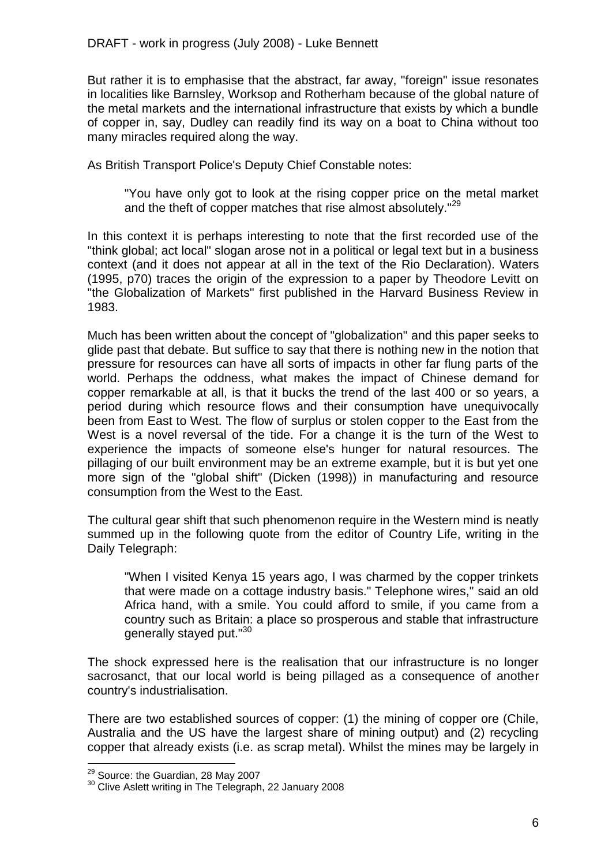But rather it is to emphasise that the abstract, far away, "foreign" issue resonates in localities like Barnsley, Worksop and Rotherham because of the global nature of the metal markets and the international infrastructure that exists by which a bundle of copper in, say, Dudley can readily find its way on a boat to China without too many miracles required along the way.

As British Transport Police's Deputy Chief Constable notes:

"You have only got to look at the rising copper price on the metal market and the theft of copper matches that rise almost absolutely."<sup>29</sup>

In this context it is perhaps interesting to note that the first recorded use of the "think global; act local" slogan arose not in a political or legal text but in a business context (and it does not appear at all in the text of the Rio Declaration). Waters (1995, p70) traces the origin of the expression to a paper by Theodore Levitt on "the Globalization of Markets" first published in the Harvard Business Review in 1983.

Much has been written about the concept of "globalization" and this paper seeks to glide past that debate. But suffice to say that there is nothing new in the notion that pressure for resources can have all sorts of impacts in other far flung parts of the world. Perhaps the oddness, what makes the impact of Chinese demand for copper remarkable at all, is that it bucks the trend of the last 400 or so years, a period during which resource flows and their consumption have unequivocally been from East to West. The flow of surplus or stolen copper to the East from the West is a novel reversal of the tide. For a change it is the turn of the West to experience the impacts of someone else's hunger for natural resources. The pillaging of our built environment may be an extreme example, but it is but yet one more sign of the "global shift" (Dicken (1998)) in manufacturing and resource consumption from the West to the East.

The cultural gear shift that such phenomenon require in the Western mind is neatly summed up in the following quote from the editor of Country Life, writing in the Daily Telegraph:

"When I visited Kenya 15 years ago, I was charmed by the copper trinkets that were made on a cottage industry basis." Telephone wires," said an old Africa hand, with a smile. You could afford to smile, if you came from a country such as Britain: a place so prosperous and stable that infrastructure generally stayed put."<sup>30</sup>

The shock expressed here is the realisation that our infrastructure is no longer sacrosanct, that our local world is being pillaged as a consequence of another country's industrialisation.

There are two established sources of copper: (1) the mining of copper ore (Chile, Australia and the US have the largest share of mining output) and (2) recycling copper that already exists (i.e. as scrap metal). Whilst the mines may be largely in

<sup>&</sup>lt;sup>29</sup> Source: the Guardian, 28 May 2007

<sup>&</sup>lt;sup>30</sup> Clive Aslett writing in The Telegraph, 22 January 2008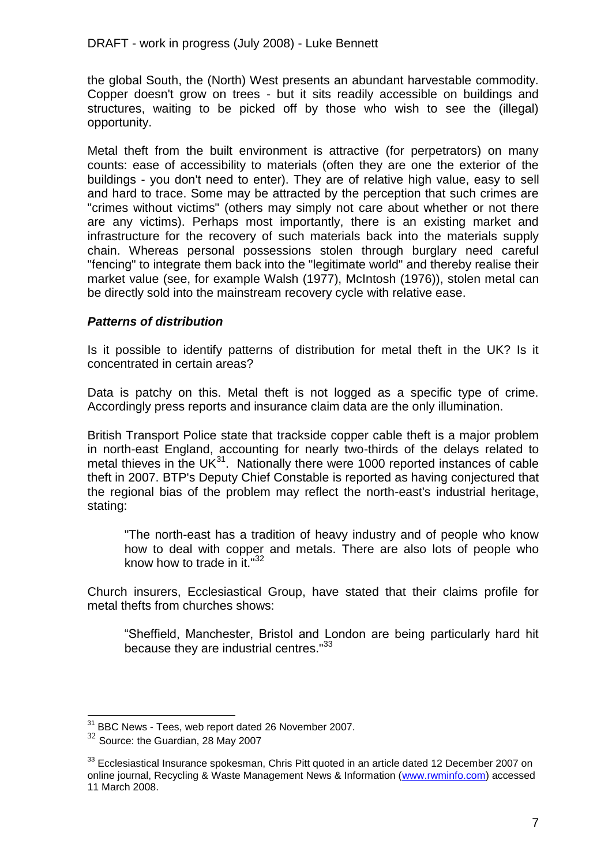the global South, the (North) West presents an abundant harvestable commodity. Copper doesn't grow on trees - but it sits readily accessible on buildings and structures, waiting to be picked off by those who wish to see the (illegal) opportunity.

Metal theft from the built environment is attractive (for perpetrators) on many counts: ease of accessibility to materials (often they are one the exterior of the buildings - you don't need to enter). They are of relative high value, easy to sell and hard to trace. Some may be attracted by the perception that such crimes are "crimes without victims" (others may simply not care about whether or not there are any victims). Perhaps most importantly, there is an existing market and infrastructure for the recovery of such materials back into the materials supply chain. Whereas personal possessions stolen through burglary need careful "fencing" to integrate them back into the "legitimate world" and thereby realise their market value (see, for example Walsh (1977), McIntosh (1976)), stolen metal can be directly sold into the mainstream recovery cycle with relative ease.

#### *Patterns of distribution*

Is it possible to identify patterns of distribution for metal theft in the UK? Is it concentrated in certain areas?

Data is patchy on this. Metal theft is not logged as a specific type of crime. Accordingly press reports and insurance claim data are the only illumination.

British Transport Police state that trackside copper cable theft is a major problem in north-east England, accounting for nearly two-thirds of the delays related to metal thieves in the UK $^{31}$ . Nationally there were 1000 reported instances of cable theft in 2007. BTP's Deputy Chief Constable is reported as having conjectured that the regional bias of the problem may reflect the north-east's industrial heritage, stating:

"The north-east has a tradition of heavy industry and of people who know how to deal with copper and metals. There are also lots of people who know how to trade in it."<sup>32</sup>

Church insurers, Ecclesiastical Group, have stated that their claims profile for metal thefts from churches shows:

"Sheffield, Manchester, Bristol and London are being particularly hard hit because they are industrial centres."<sup>33</sup>

<sup>&</sup>lt;sup>31</sup> BBC News - Tees, web report dated 26 November 2007.

 $32$  Source: the Guardian, 28 May 2007

 $33$  Ecclesiastical Insurance spokesman, Chris Pitt quoted in an article dated 12 December 2007 on online journal, Recycling & Waste Management News & Information [\(www.rwminfo.com\)](http://www.rwminfo.com/) accessed 11 March 2008.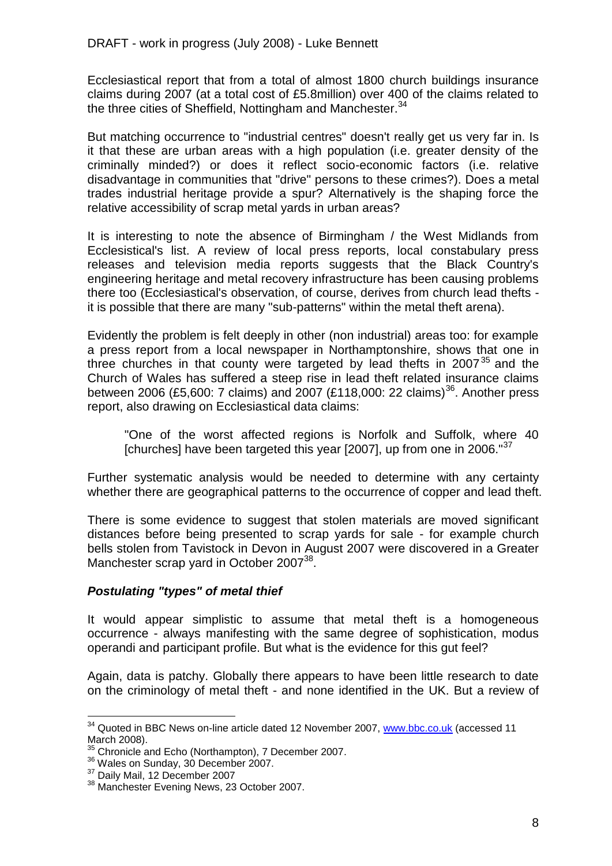Ecclesiastical report that from a total of almost 1800 church buildings insurance claims during 2007 (at a total cost of £5.8million) over 400 of the claims related to the three cities of Sheffield, Nottingham and Manchester.<sup>34</sup>

But matching occurrence to "industrial centres" doesn't really get us very far in. Is it that these are urban areas with a high population (i.e. greater density of the criminally minded?) or does it reflect socio-economic factors (i.e. relative disadvantage in communities that "drive" persons to these crimes?). Does a metal trades industrial heritage provide a spur? Alternatively is the shaping force the relative accessibility of scrap metal yards in urban areas?

It is interesting to note the absence of Birmingham / the West Midlands from Ecclesistical's list. A review of local press reports, local constabulary press releases and television media reports suggests that the Black Country's engineering heritage and metal recovery infrastructure has been causing problems there too (Ecclesiastical's observation, of course, derives from church lead thefts it is possible that there are many "sub-patterns" within the metal theft arena).

Evidently the problem is felt deeply in other (non industrial) areas too: for example a press report from a local newspaper in Northamptonshire, shows that one in three churches in that county were targeted by lead thefts in  $2007<sup>35</sup>$  and the Church of Wales has suffered a steep rise in lead theft related insurance claims between 2006 (£5,600: 7 claims) and 2007 (£118,000: 22 claims)<sup>36</sup>. Another press report, also drawing on Ecclesiastical data claims:

"One of the worst affected regions is Norfolk and Suffolk, where 40 [churches] have been targeted this year  $[2007]$ , up from one in 2006." $37$ 

Further systematic analysis would be needed to determine with any certainty whether there are geographical patterns to the occurrence of copper and lead theft.

There is some evidence to suggest that stolen materials are moved significant distances before being presented to scrap yards for sale - for example church bells stolen from Tavistock in Devon in August 2007 were discovered in a Greater Manchester scrap yard in October 2007<sup>38</sup>.

#### *Postulating "types" of metal thief*

It would appear simplistic to assume that metal theft is a homogeneous occurrence - always manifesting with the same degree of sophistication, modus operandi and participant profile. But what is the evidence for this gut feel?

Again, data is patchy. Globally there appears to have been little research to date on the criminology of metal theft - and none identified in the UK. But a review of

<sup>&</sup>lt;sup>34</sup> Quoted in BBC News on-line article dated 12 November 2007, [www.bbc.co.uk](http://www.bbc.co.uk/) (accessed 11 March 2008).

<sup>&</sup>lt;sup>35</sup> Chronicle and Echo (Northampton), 7 December 2007.

<sup>&</sup>lt;sup>36</sup> Wales on Sunday, 30 December 2007.

<sup>37</sup> Daily Mail, 12 December 2007

<sup>38</sup> Manchester Evening News, 23 October 2007.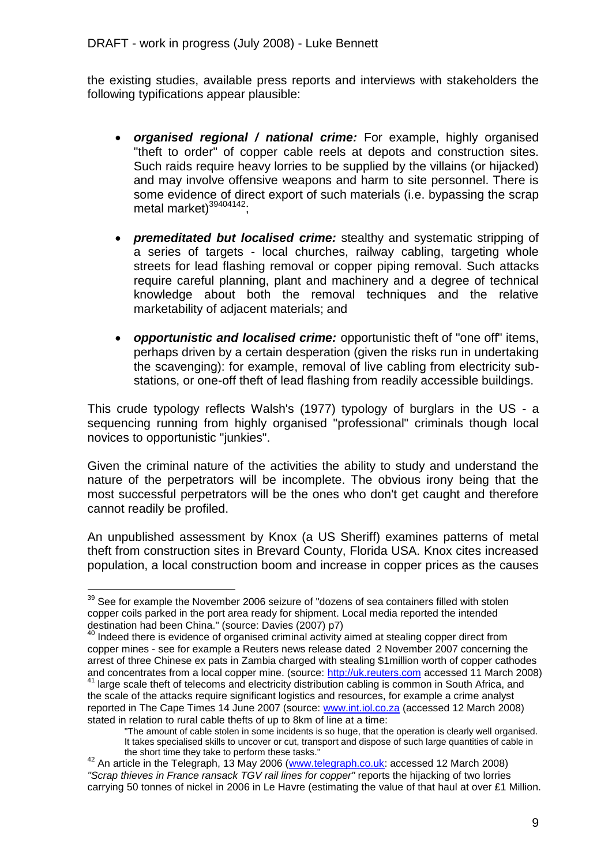the existing studies, available press reports and interviews with stakeholders the following typifications appear plausible:

- *organised regional / national crime:* For example, highly organised "theft to order" of copper cable reels at depots and construction sites. Such raids require heavy lorries to be supplied by the villains (or hijacked) and may involve offensive weapons and harm to site personnel. There is some evidence of direct export of such materials (i.e. bypassing the scrap metal market) $39404142$ ;
- *premeditated but localised crime:* stealthy and systematic stripping of a series of targets - local churches, railway cabling, targeting whole streets for lead flashing removal or copper piping removal. Such attacks require careful planning, plant and machinery and a degree of technical knowledge about both the removal techniques and the relative marketability of adjacent materials; and
- *opportunistic and localised crime:* opportunistic theft of "one off" items, perhaps driven by a certain desperation (given the risks run in undertaking the scavenging): for example, removal of live cabling from electricity substations, or one-off theft of lead flashing from readily accessible buildings.

This crude typology reflects Walsh's (1977) typology of burglars in the US - a sequencing running from highly organised "professional" criminals though local novices to opportunistic "junkies".

Given the criminal nature of the activities the ability to study and understand the nature of the perpetrators will be incomplete. The obvious irony being that the most successful perpetrators will be the ones who don't get caught and therefore cannot readily be profiled.

An unpublished assessment by Knox (a US Sheriff) examines patterns of metal theft from construction sites in Brevard County, Florida USA. Knox cites increased population, a local construction boom and increase in copper prices as the causes

<sup>1</sup>  $39$  See for example the November 2006 seizure of "dozens of sea containers filled with stolen copper coils parked in the port area ready for shipment. Local media reported the intended destination had been China." (source: Davies (2007) p7)

<sup>&</sup>lt;sup>40</sup> Indeed there is evidence of organised criminal activity aimed at stealing copper direct from copper mines - see for example a Reuters news release dated 2 November 2007 concerning the arrest of three Chinese ex pats in Zambia charged with stealing \$1million worth of copper cathodes and concentrates from a local copper mine. (source: [http://uk.reuters.com](http://uk.reuters.com/) accessed 11 March 2008)

<sup>&</sup>lt;sup>41</sup> large scale theft of telecoms and electricity distribution cabling is common in South Africa, and the scale of the attacks require significant logistics and resources, for example a crime analyst reported in The Cape Times 14 June 2007 (source: [www.int.iol.co.za](http://www.int.iol.co.za/) (accessed 12 March 2008) stated in relation to rural cable thefts of up to 8km of line at a time:

<sup>&</sup>quot;The amount of cable stolen in some incidents is so huge, that the operation is clearly well organised. It takes specialised skills to uncover or cut, transport and dispose of such large quantities of cable in the short time they take to perform these tasks."

<sup>&</sup>lt;sup>42</sup> An article in the Telegraph, 13 May 2006 [\(www.telegraph.co.uk:](http://www.telegraph.co.uk/) accessed 12 March 2008) *"Scrap thieves in France ransack TGV rail lines for copper"* reports the hijacking of two lorries carrying 50 tonnes of nickel in 2006 in Le Havre (estimating the value of that haul at over £1 Million.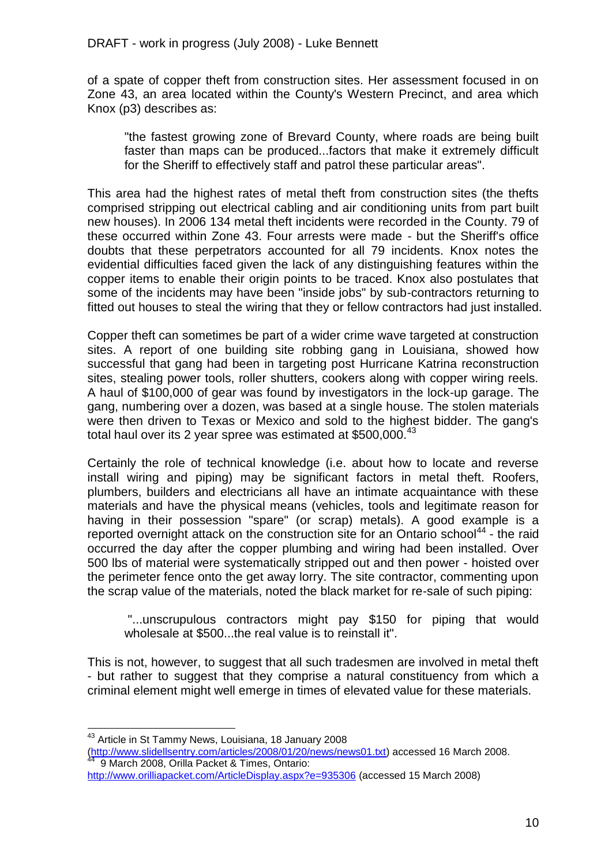of a spate of copper theft from construction sites. Her assessment focused in on Zone 43, an area located within the County's Western Precinct, and area which Knox (p3) describes as:

"the fastest growing zone of Brevard County, where roads are being built faster than maps can be produced...factors that make it extremely difficult for the Sheriff to effectively staff and patrol these particular areas".

This area had the highest rates of metal theft from construction sites (the thefts comprised stripping out electrical cabling and air conditioning units from part built new houses). In 2006 134 metal theft incidents were recorded in the County. 79 of these occurred within Zone 43. Four arrests were made - but the Sheriff's office doubts that these perpetrators accounted for all 79 incidents. Knox notes the evidential difficulties faced given the lack of any distinguishing features within the copper items to enable their origin points to be traced. Knox also postulates that some of the incidents may have been "inside jobs" by sub-contractors returning to fitted out houses to steal the wiring that they or fellow contractors had just installed.

Copper theft can sometimes be part of a wider crime wave targeted at construction sites. A report of one building site robbing gang in Louisiana, showed how successful that gang had been in targeting post Hurricane Katrina reconstruction sites, stealing power tools, roller shutters, cookers along with copper wiring reels. A haul of \$100,000 of gear was found by investigators in the lock-up garage. The gang, numbering over a dozen, was based at a single house. The stolen materials were then driven to Texas or Mexico and sold to the highest bidder. The gang's total haul over its 2 year spree was estimated at  $$500,000.<sup>43</sup>$ 

Certainly the role of technical knowledge (i.e. about how to locate and reverse install wiring and piping) may be significant factors in metal theft. Roofers, plumbers, builders and electricians all have an intimate acquaintance with these materials and have the physical means (vehicles, tools and legitimate reason for having in their possession "spare" (or scrap) metals). A good example is a reported overnight attack on the construction site for an Ontario school<sup>44</sup> - the raid occurred the day after the copper plumbing and wiring had been installed. Over 500 lbs of material were systematically stripped out and then power - hoisted over the perimeter fence onto the get away lorry. The site contractor, commenting upon the scrap value of the materials, noted the black market for re-sale of such piping:

"...unscrupulous contractors might pay \$150 for piping that would wholesale at \$500...the real value is to reinstall it".

This is not, however, to suggest that all such tradesmen are involved in metal theft - but rather to suggest that they comprise a natural constituency from which a criminal element might well emerge in times of elevated value for these materials.

<sup>&</sup>lt;sup>43</sup> Article in St Tammy News, Louisiana, 18 January 2008

[<sup>\(</sup>http://www.slidellsentry.com/articles/2008/01/20/news/news01.txt\)](http://www.slidellsentry.com/articles/2008/01/20/news/news01.txt) accessed 16 March 2008. 44 9 March 2008, Orilla Packet & Times, Ontario:

<http://www.orilliapacket.com/ArticleDisplay.aspx?e=935306> (accessed 15 March 2008)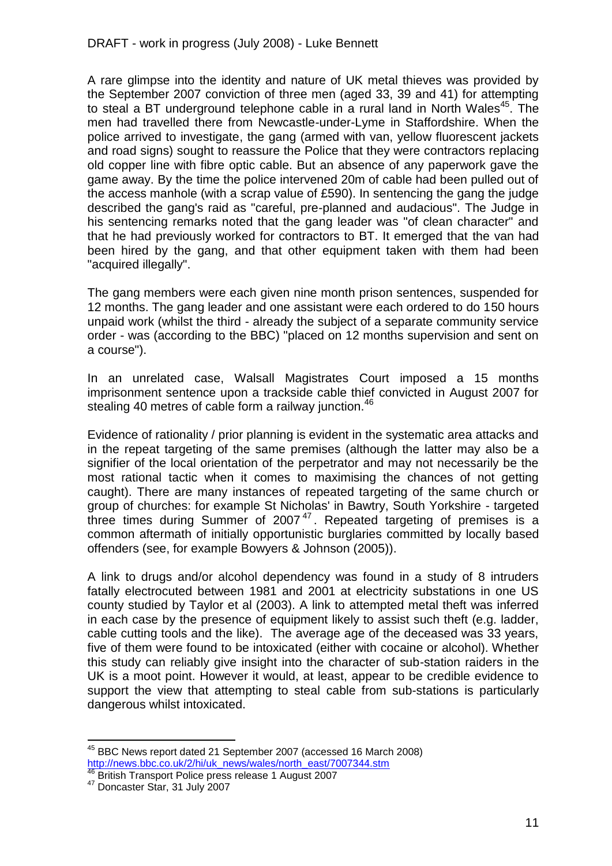A rare glimpse into the identity and nature of UK metal thieves was provided by the September 2007 conviction of three men (aged 33, 39 and 41) for attempting to steal a BT underground telephone cable in a rural land in North Wales<sup>45</sup>. The men had travelled there from Newcastle-under-Lyme in Staffordshire. When the police arrived to investigate, the gang (armed with van, yellow fluorescent jackets and road signs) sought to reassure the Police that they were contractors replacing old copper line with fibre optic cable. But an absence of any paperwork gave the game away. By the time the police intervened 20m of cable had been pulled out of the access manhole (with a scrap value of £590). In sentencing the gang the judge described the gang's raid as "careful, pre-planned and audacious". The Judge in his sentencing remarks noted that the gang leader was "of clean character" and that he had previously worked for contractors to BT. It emerged that the van had been hired by the gang, and that other equipment taken with them had been "acquired illegally".

The gang members were each given nine month prison sentences, suspended for 12 months. The gang leader and one assistant were each ordered to do 150 hours unpaid work (whilst the third - already the subject of a separate community service order - was (according to the BBC) "placed on 12 months supervision and sent on a course").

In an unrelated case, Walsall Magistrates Court imposed a 15 months imprisonment sentence upon a trackside cable thief convicted in August 2007 for stealing 40 metres of cable form a railway junction. $46$ 

Evidence of rationality / prior planning is evident in the systematic area attacks and in the repeat targeting of the same premises (although the latter may also be a signifier of the local orientation of the perpetrator and may not necessarily be the most rational tactic when it comes to maximising the chances of not getting caught). There are many instances of repeated targeting of the same church or group of churches: for example St Nicholas' in Bawtry, South Yorkshire - targeted three times during Summer of 2007 $47$ . Repeated targeting of premises is a common aftermath of initially opportunistic burglaries committed by locally based offenders (see, for example Bowyers & Johnson (2005)).

A link to drugs and/or alcohol dependency was found in a study of 8 intruders fatally electrocuted between 1981 and 2001 at electricity substations in one US county studied by Taylor et al (2003). A link to attempted metal theft was inferred in each case by the presence of equipment likely to assist such theft (e.g. ladder, cable cutting tools and the like). The average age of the deceased was 33 years, five of them were found to be intoxicated (either with cocaine or alcohol). Whether this study can reliably give insight into the character of sub-station raiders in the UK is a moot point. However it would, at least, appear to be credible evidence to support the view that attempting to steal cable from sub-stations is particularly dangerous whilst intoxicated.

<sup>45</sup> BBC News report dated 21 September 2007 (accessed 16 March 2008) [http://news.bbc.co.uk/2/hi/uk\\_news/wales/north\\_east/7007344.stm](http://news.bbc.co.uk/2/hi/uk_news/wales/north_east/7007344.stm)

<sup>46</sup> British Transport Police press release 1 August 2007

<sup>47</sup> Doncaster Star, 31 July 2007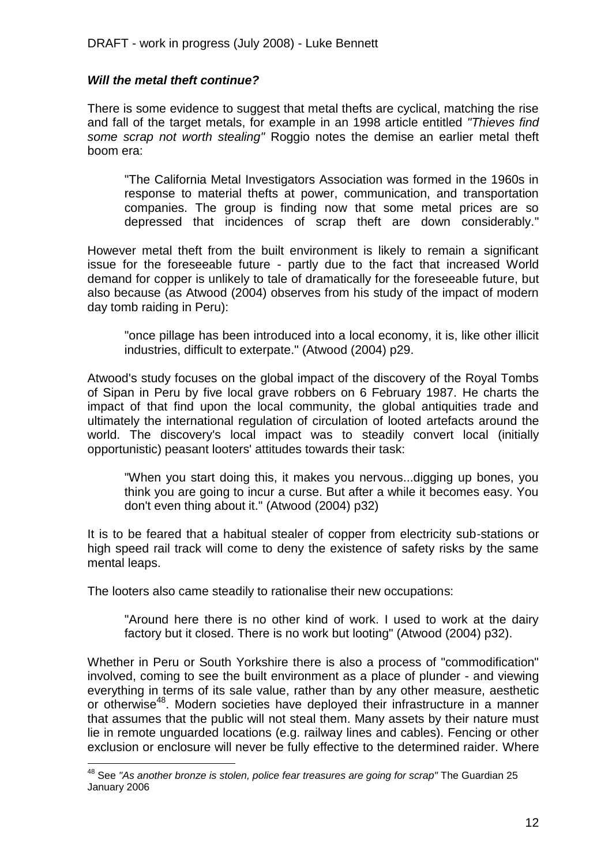#### *Will the metal theft continue?*

There is some evidence to suggest that metal thefts are cyclical, matching the rise and fall of the target metals, for example in an 1998 article entitled *"Thieves find some scrap not worth stealing"* Roggio notes the demise an earlier metal theft boom era:

"The California Metal Investigators Association was formed in the 1960s in response to material thefts at power, communication, and transportation companies. The group is finding now that some metal prices are so depressed that incidences of scrap theft are down considerably."

However metal theft from the built environment is likely to remain a significant issue for the foreseeable future - partly due to the fact that increased World demand for copper is unlikely to tale of dramatically for the foreseeable future, but also because (as Atwood (2004) observes from his study of the impact of modern day tomb raiding in Peru):

"once pillage has been introduced into a local economy, it is, like other illicit industries, difficult to exterpate." (Atwood (2004) p29.

Atwood's study focuses on the global impact of the discovery of the Royal Tombs of Sipan in Peru by five local grave robbers on 6 February 1987. He charts the impact of that find upon the local community, the global antiquities trade and ultimately the international regulation of circulation of looted artefacts around the world. The discovery's local impact was to steadily convert local (initially opportunistic) peasant looters' attitudes towards their task:

"When you start doing this, it makes you nervous...digging up bones, you think you are going to incur a curse. But after a while it becomes easy. You don't even thing about it." (Atwood (2004) p32)

It is to be feared that a habitual stealer of copper from electricity sub-stations or high speed rail track will come to deny the existence of safety risks by the same mental leaps.

The looters also came steadily to rationalise their new occupations:

1

"Around here there is no other kind of work. I used to work at the dairy factory but it closed. There is no work but looting" (Atwood (2004) p32).

Whether in Peru or South Yorkshire there is also a process of "commodification" involved, coming to see the built environment as a place of plunder - and viewing everything in terms of its sale value, rather than by any other measure, aesthetic or otherwise<sup>48</sup>. Modern societies have deployed their infrastructure in a manner that assumes that the public will not steal them. Many assets by their nature must lie in remote unguarded locations (e.g. railway lines and cables). Fencing or other exclusion or enclosure will never be fully effective to the determined raider. Where

<sup>48</sup> See *"As another bronze is stolen, police fear treasures are going for scrap"* The Guardian 25 January 2006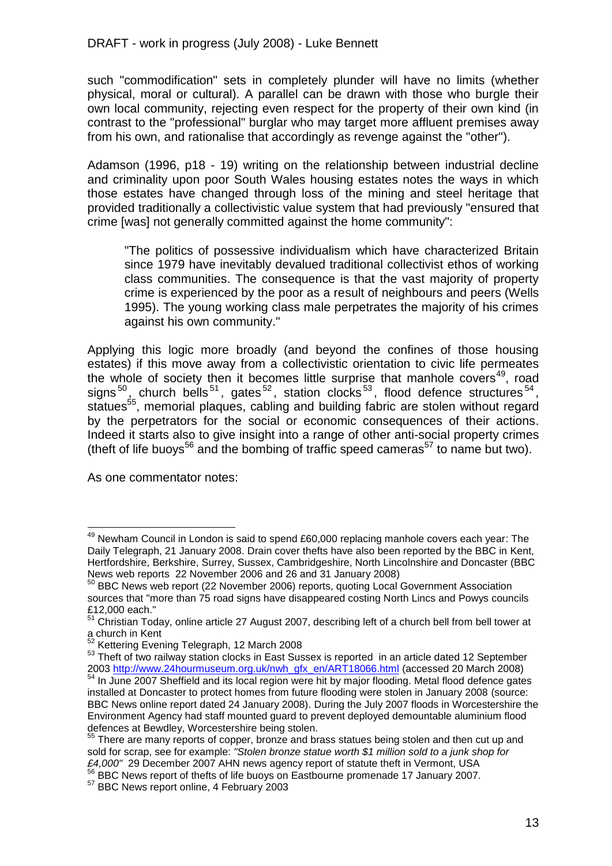such "commodification" sets in completely plunder will have no limits (whether physical, moral or cultural). A parallel can be drawn with those who burgle their own local community, rejecting even respect for the property of their own kind (in contrast to the "professional" burglar who may target more affluent premises away from his own, and rationalise that accordingly as revenge against the "other").

Adamson (1996, p18 - 19) writing on the relationship between industrial decline and criminality upon poor South Wales housing estates notes the ways in which those estates have changed through loss of the mining and steel heritage that provided traditionally a collectivistic value system that had previously "ensured that crime [was] not generally committed against the home community":

"The politics of possessive individualism which have characterized Britain since 1979 have inevitably devalued traditional collectivist ethos of working class communities. The consequence is that the vast majority of property crime is experienced by the poor as a result of neighbours and peers (Wells 1995). The young working class male perpetrates the majority of his crimes against his own community."

Applying this logic more broadly (and beyond the confines of those housing estates) if this move away from a collectivistic orientation to civic life permeates the whole of society then it becomes little surprise that manhole covers<sup>49</sup>, road signs<sup>50</sup>, church bells<sup>51</sup>, gates<sup>52</sup>, station clocks<sup>53</sup>, flood defence structures<sup>54</sup>, statues<sup>55</sup>, memorial plaques, cabling and building fabric are stolen without regard by the perpetrators for the social or economic consequences of their actions. Indeed it starts also to give insight into a range of other anti-social property crimes (theft of life buoys<sup>56</sup> and the bombing of traffic speed cameras<sup>57</sup> to name but two).

As one commentator notes:

 $49$  Newham Council in London is said to spend £60,000 replacing manhole covers each year: The Daily Telegraph, 21 January 2008. Drain cover thefts have also been reported by the BBC in Kent, Hertfordshire, Berkshire, Surrey, Sussex, Cambridgeshire, North Lincolnshire and Doncaster (BBC News web reports 22 November 2006 and 26 and 31 January 2008)

<sup>&</sup>lt;sup>50</sup> BBC News web report (22 November 2006) reports, quoting Local Government Association sources that "more than 75 road signs have disappeared costing North Lincs and Powys councils £12,000 each."

<sup>51</sup> Christian Today, online article 27 August 2007, describing left of a church bell from bell tower at a church in Kent

<sup>&</sup>lt;sup>52</sup> Kettering Evening Telegraph, 12 March 2008

<sup>53</sup> Theft of two railway station clocks in East Sussex is reported in an article dated 12 September 2003 [http://www.24hourmuseum.org.uk/nwh\\_gfx\\_en/ART18066.html](http://www.24hourmuseum.org.uk/nwh_gfx_en/ART18066.html) (accessed 20 March 2008) <sup>54</sup> In June 2007 Sheffield and its local region were hit by major flooding. Metal flood defence gates installed at Doncaster to protect homes from future flooding were stolen in January 2008 (source: BBC News online report dated 24 January 2008). During the July 2007 floods in Worcestershire the Environment Agency had staff mounted guard to prevent deployed demountable aluminium flood defences at Bewdley, Worcestershire being stolen.

 $<sup>5</sup>$  There are many reports of copper, bronze and brass statues being stolen and then cut up and</sup> sold for scrap, see for example: *"Stolen bronze statue worth \$1 million sold to a junk shop for £4,000"* 29 December 2007 AHN news agency report of statute theft in Vermont, USA

<sup>56</sup> BBC News report of thefts of life buoys on Eastbourne promenade 17 January 2007.

<sup>&</sup>lt;sup>57</sup> BBC News report online, 4 February 2003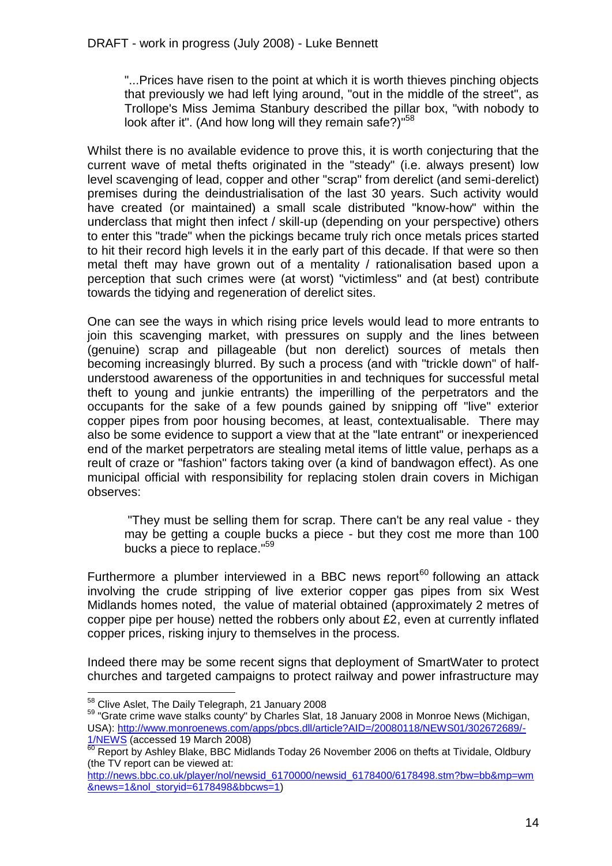"...Prices have risen to the point at which it is worth thieves pinching objects that previously we had left lying around, "out in the middle of the street", as Trollope's Miss Jemima Stanbury described the pillar box, "with nobody to look after it". (And how long will they remain safe?)"<sup>58</sup>

Whilst there is no available evidence to prove this, it is worth conjecturing that the current wave of metal thefts originated in the "steady" (i.e. always present) low level scavenging of lead, copper and other "scrap" from derelict (and semi-derelict) premises during the deindustrialisation of the last 30 years. Such activity would have created (or maintained) a small scale distributed "know-how" within the underclass that might then infect / skill-up (depending on your perspective) others to enter this "trade" when the pickings became truly rich once metals prices started to hit their record high levels it in the early part of this decade. If that were so then metal theft may have grown out of a mentality / rationalisation based upon a perception that such crimes were (at worst) "victimless" and (at best) contribute towards the tidying and regeneration of derelict sites.

One can see the ways in which rising price levels would lead to more entrants to join this scavenging market, with pressures on supply and the lines between (genuine) scrap and pillageable (but non derelict) sources of metals then becoming increasingly blurred. By such a process (and with "trickle down" of halfunderstood awareness of the opportunities in and techniques for successful metal theft to young and junkie entrants) the imperilling of the perpetrators and the occupants for the sake of a few pounds gained by snipping off "live" exterior copper pipes from poor housing becomes, at least, contextualisable. There may also be some evidence to support a view that at the "late entrant" or inexperienced end of the market perpetrators are stealing metal items of little value, perhaps as a reult of craze or "fashion" factors taking over (a kind of bandwagon effect). As one municipal official with responsibility for replacing stolen drain covers in Michigan observes:

"They must be selling them for scrap. There can't be any real value - they may be getting a couple bucks a piece - but they cost me more than 100 bucks a piece to replace."<sup>59</sup>

Furthermore a plumber interviewed in a BBC news report<sup>60</sup> following an attack involving the crude stripping of live exterior copper gas pipes from six West Midlands homes noted, the value of material obtained (approximately 2 metres of copper pipe per house) netted the robbers only about £2, even at currently inflated copper prices, risking injury to themselves in the process.

Indeed there may be some recent signs that deployment of SmartWater to protect churches and targeted campaigns to protect railway and power infrastructure may

<sup>1</sup> <sup>58</sup> Clive Aslet, The Daily Telegraph, 21 January 2008

<sup>&</sup>lt;sup>59</sup> "Grate crime wave stalks county" by Charles Slat, 18 January 2008 in Monroe News (Michigan, USA): [http://www.monroenews.com/apps/pbcs.dll/article?AID=/20080118/NEWS01/302672689/-](http://www.monroenews.com/apps/pbcs.dll/article?AID=/20080118/NEWS01/302672689/-1/NEWS) [1/NEWS](http://www.monroenews.com/apps/pbcs.dll/article?AID=/20080118/NEWS01/302672689/-1/NEWS) (accessed 19 March 2008)

 $\frac{60}{60}$  Report by Ashley Blake, BBC Midlands Today 26 November 2006 on thefts at Tividale, Oldbury (the TV report can be viewed at:

[http://news.bbc.co.uk/player/nol/newsid\\_6170000/newsid\\_6178400/6178498.stm?bw=bb&mp=wm](http://news.bbc.co.uk/player/nol/newsid_6170000/newsid_6178400/6178498.stm?bw=bb&mp=wm&news=1&nol_storyid=6178498&bbcws=1) [&news=1&nol\\_storyid=6178498&bbcws=1\)](http://news.bbc.co.uk/player/nol/newsid_6170000/newsid_6178400/6178498.stm?bw=bb&mp=wm&news=1&nol_storyid=6178498&bbcws=1)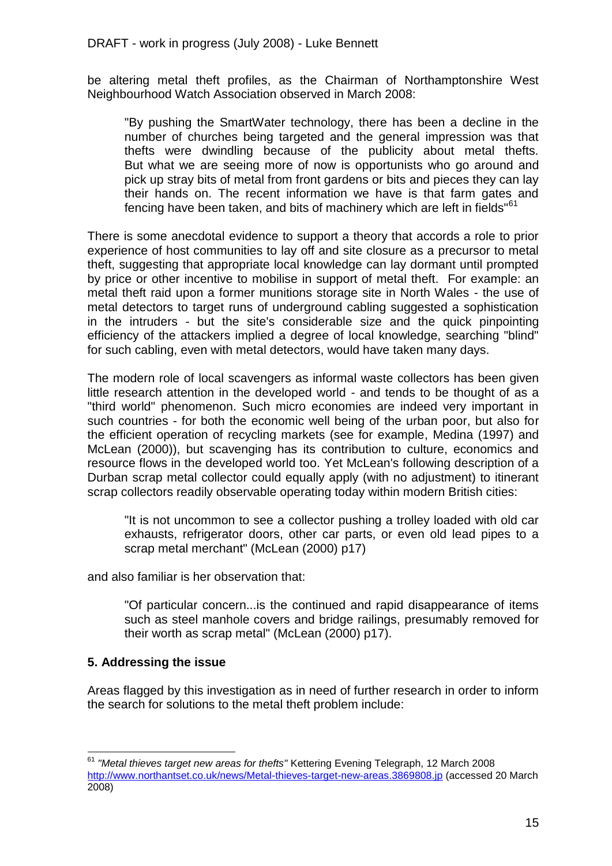be altering metal theft profiles, as the Chairman of Northamptonshire West Neighbourhood Watch Association observed in March 2008:

"By pushing the SmartWater technology, there has been a decline in the number of churches being targeted and the general impression was that thefts were dwindling because of the publicity about metal thefts. But what we are seeing more of now is opportunists who go around and pick up stray bits of metal from front gardens or bits and pieces they can lay their hands on. The recent information we have is that farm gates and fencing have been taken, and bits of machinery which are left in fields"<sup>61</sup>

There is some anecdotal evidence to support a theory that accords a role to prior experience of host communities to lay off and site closure as a precursor to metal theft, suggesting that appropriate local knowledge can lay dormant until prompted by price or other incentive to mobilise in support of metal theft. For example: an metal theft raid upon a former munitions storage site in North Wales - the use of metal detectors to target runs of underground cabling suggested a sophistication in the intruders - but the site's considerable size and the quick pinpointing efficiency of the attackers implied a degree of local knowledge, searching "blind" for such cabling, even with metal detectors, would have taken many days.

The modern role of local scavengers as informal waste collectors has been given little research attention in the developed world - and tends to be thought of as a "third world" phenomenon. Such micro economies are indeed very important in such countries - for both the economic well being of the urban poor, but also for the efficient operation of recycling markets (see for example, Medina (1997) and McLean (2000)), but scavenging has its contribution to culture, economics and resource flows in the developed world too. Yet McLean's following description of a Durban scrap metal collector could equally apply (with no adjustment) to itinerant scrap collectors readily observable operating today within modern British cities:

"It is not uncommon to see a collector pushing a trolley loaded with old car exhausts, refrigerator doors, other car parts, or even old lead pipes to a scrap metal merchant" (McLean (2000) p17)

and also familiar is her observation that:

"Of particular concern...is the continued and rapid disappearance of items such as steel manhole covers and bridge railings, presumably removed for their worth as scrap metal" (McLean (2000) p17).

#### **5. Addressing the issue**

1

Areas flagged by this investigation as in need of further research in order to inform the search for solutions to the metal theft problem include:

<sup>61</sup> *"Metal thieves target new areas for thefts"* Kettering Evening Telegraph, 12 March 2008 <http://www.northantset.co.uk/news/Metal-thieves-target-new-areas.3869808.jp> (accessed 20 March 2008)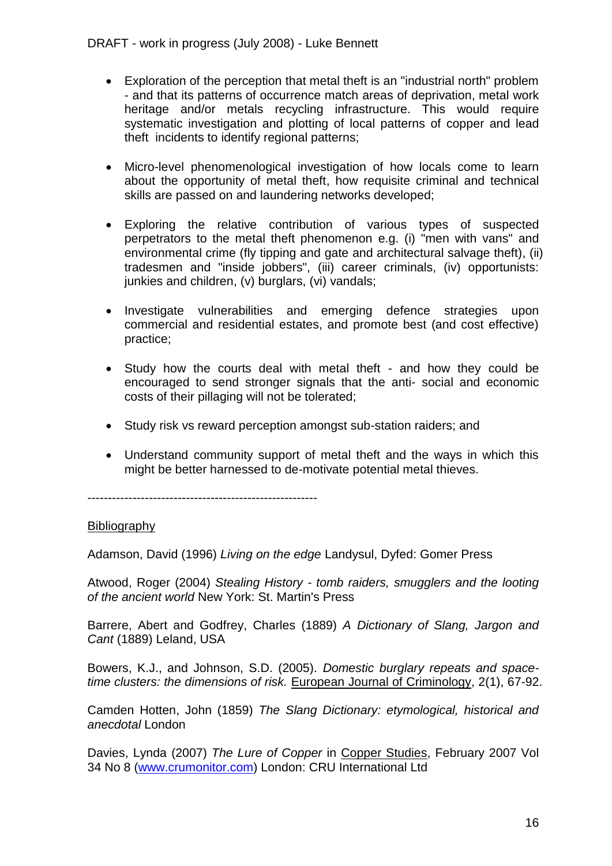- Exploration of the perception that metal theft is an "industrial north" problem - and that its patterns of occurrence match areas of deprivation, metal work heritage and/or metals recycling infrastructure. This would require systematic investigation and plotting of local patterns of copper and lead theft incidents to identify regional patterns;
- Micro-level phenomenological investigation of how locals come to learn about the opportunity of metal theft, how requisite criminal and technical skills are passed on and laundering networks developed;
- Exploring the relative contribution of various types of suspected perpetrators to the metal theft phenomenon e.g. (i) "men with vans" and environmental crime (fly tipping and gate and architectural salvage theft), (ii) tradesmen and "inside jobbers", (iii) career criminals, (iv) opportunists: junkies and children, (v) burglars, (vi) vandals;
- Investigate vulnerabilities and emerging defence strategies upon commercial and residential estates, and promote best (and cost effective) practice;
- Study how the courts deal with metal theft and how they could be encouraged to send stronger signals that the anti- social and economic costs of their pillaging will not be tolerated;
- Study risk vs reward perception amongst sub-station raiders; and
- Understand community support of metal theft and the ways in which this might be better harnessed to de-motivate potential metal thieves.

--------------------------------------------------------

#### **Bibliography**

Adamson, David (1996) *Living on the edge* Landysul, Dyfed: Gomer Press

Atwood, Roger (2004) *Stealing History - tomb raiders, smugglers and the looting of the ancient world* New York: St. Martin's Press

Barrere, Abert and Godfrey, Charles (1889) *A Dictionary of Slang, Jargon and Cant* (1889) Leland, USA

Bowers, K.J., and Johnson, S.D. (2005). *Domestic burglary repeats and spacetime clusters: the dimensions of risk.* European Journal of Criminology, 2(1), 67-92.

Camden Hotten, John (1859) *The Slang Dictionary: etymological, historical and anecdotal* London

Davies, Lynda (2007) *The Lure of Copper* in Copper Studies, February 2007 Vol 34 No 8 [\(www.crumonitor.com\)](http://www.crumonitor.com/) London: CRU International Ltd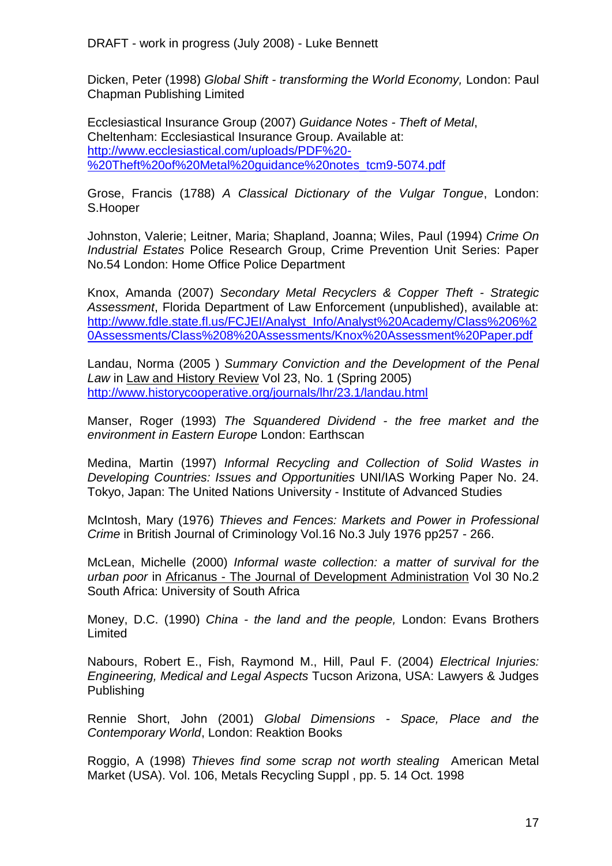Dicken, Peter (1998) *Global Shift - transforming the World Economy,* London: Paul Chapman Publishing Limited

Ecclesiastical Insurance Group (2007) *Guidance Notes - Theft of Metal*, Cheltenham: Ecclesiastical Insurance Group. Available at: [http://www.ecclesiastical.com/uploads/PDF%20-](http://www.ecclesiastical.com/uploads/PDF%20-%20Theft%20of%20Metal%20guidance%20notes_tcm9-5074.pdf) [%20Theft%20of%20Metal%20guidance%20notes\\_tcm9-5074.pdf](http://www.ecclesiastical.com/uploads/PDF%20-%20Theft%20of%20Metal%20guidance%20notes_tcm9-5074.pdf)

Grose, Francis (1788) *A Classical Dictionary of the Vulgar Tongue*, London: S.Hooper

Johnston, Valerie; Leitner, Maria; Shapland, Joanna; Wiles, Paul (1994) *Crime On Industrial Estates* Police Research Group, Crime Prevention Unit Series: Paper No.54 London: Home Office Police Department

Knox, Amanda (2007) *Secondary Metal Recyclers & Copper Theft - Strategic Assessment*, Florida Department of Law Enforcement (unpublished), available at: [http://www.fdle.state.fl.us/FCJEI/Analyst\\_Info/Analyst%20Academy/Class%206%2](http://www.fdle.state.fl.us/FCJEI/Analyst_Info/Analyst%20Academy/Class%206%20Assessments/Class%208%20Assessments/Knox%20Assessment%20Paper.pdf) [0Assessments/Class%208%20Assessments/Knox%20Assessment%20Paper.pdf](http://www.fdle.state.fl.us/FCJEI/Analyst_Info/Analyst%20Academy/Class%206%20Assessments/Class%208%20Assessments/Knox%20Assessment%20Paper.pdf)

Landau, Norma (2005 ) *Summary Conviction and the Development of the Penal Law* in Law and History Review Vol 23, No. 1 (Spring 2005) <http://www.historycooperative.org/journals/lhr/23.1/landau.html>

Manser, Roger (1993) *The Squandered Dividend - the free market and the environment in Eastern Europe* London: Earthscan

Medina, Martin (1997) *Informal Recycling and Collection of Solid Wastes in Developing Countries: Issues and Opportunities* UNI/IAS Working Paper No. 24. Tokyo, Japan: The United Nations University - Institute of Advanced Studies

McIntosh, Mary (1976) *Thieves and Fences: Markets and Power in Professional Crime* in British Journal of Criminology Vol.16 No.3 July 1976 pp257 - 266.

McLean, Michelle (2000) *Informal waste collection: a matter of survival for the urban poor* in Africanus - The Journal of Development Administration Vol 30 No.2 South Africa: University of South Africa

Money, D.C. (1990) *China - the land and the people,* London: Evans Brothers Limited

Nabours, Robert E., Fish, Raymond M., Hill, Paul F. (2004) *Electrical Injuries: Engineering, Medical and Legal Aspects* Tucson Arizona, USA: Lawyers & Judges Publishing

Rennie Short, John (2001) *Global Dimensions - Space, Place and the Contemporary World*, London: Reaktion Books

Roggio, A (1998) *Thieves find some scrap not worth stealing* American Metal Market (USA). Vol. 106, Metals Recycling Suppl , pp. 5. 14 Oct. 1998